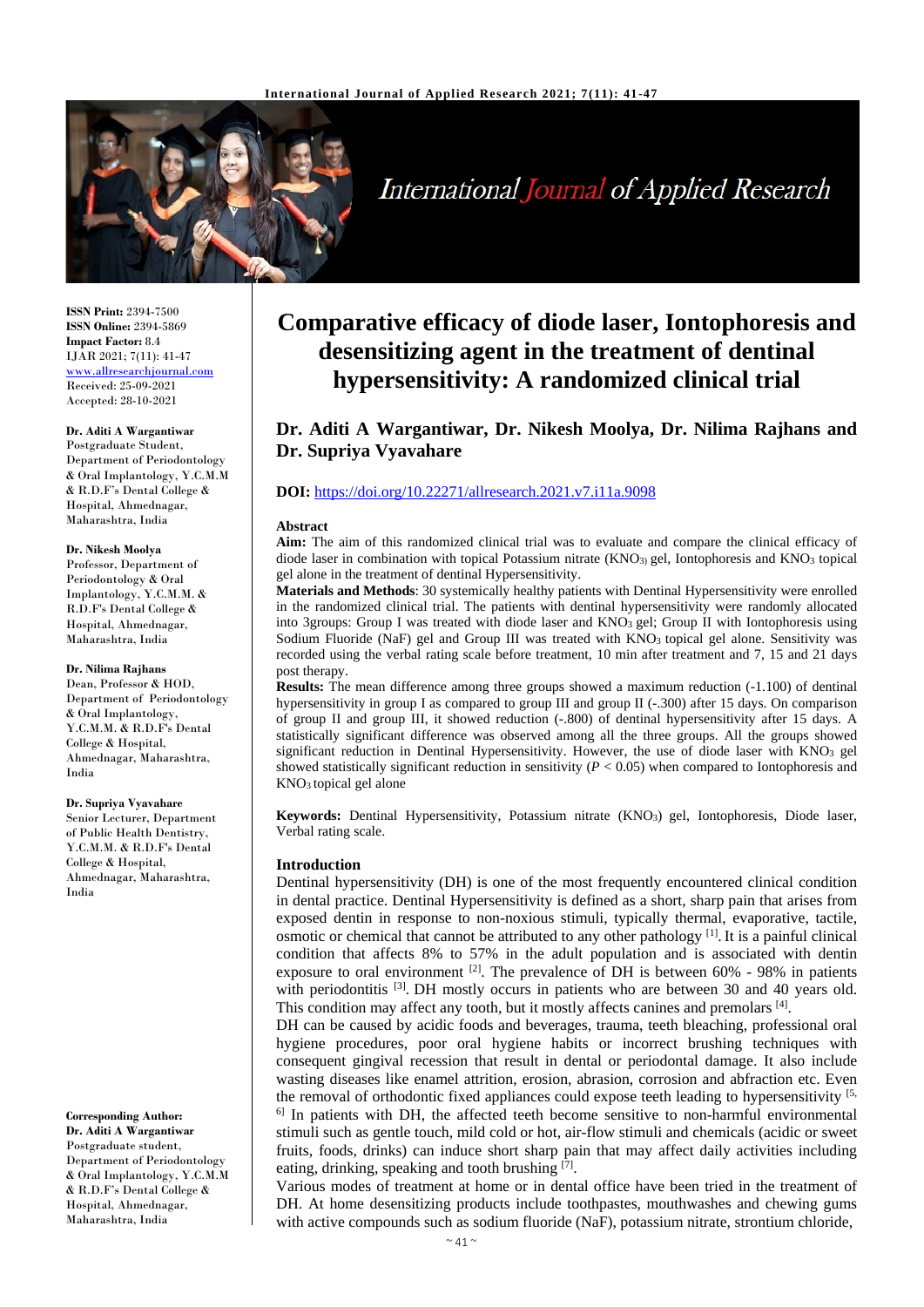

# **International Journal of Applied Research**

**ISSN Print:** 2394-7500 **ISSN Online:** 2394-5869 **Impact Factor:** 8.4 IJAR 2021; 7(11): 41-47 www.allresearchjournal.com Received: 25-09-2021 Accepted: 28-10-2021

### **Dr. Aditi A Wargantiwar**

Postgraduate Student, Department of Periodontology & Oral Implantology, Y.C.M.M & R.D.F's Dental College & Hospital, Ahmednagar, Maharashtra, India

#### **Dr. Nikesh Moolya**

Professor, Department of Periodontology & Oral Implantology, Y.C.M.M. & R.D.F's Dental College & Hospital, Ahmednagar, Maharashtra, India

#### **Dr. Nilima Rajhans**

Dean, Professor & HOD, Department of Periodontology & Oral Implantology, Y.C.M.M. & R.D.F's Dental College & Hospital, Ahmednagar, Maharashtra, India

#### **Dr. Supriya Vyavahare**

Senior Lecturer, Department of Public Health Dentistry, Y.C.M.M. & R.D.F's Dental College & Hospital, Ahmednagar, Maharashtra, India

## **Corresponding Author:**

**Dr. Aditi A Wargantiwar** Postgraduate student, Department of Periodontology & Oral Implantology, Y.C.M.M & R.D.F's Dental College & Hospital, Ahmednagar, Maharashtra, India

## **Comparative efficacy of diode laser, Iontophoresis and desensitizing agent in the treatment of dentinal hypersensitivity: A randomized clinical trial**

**Dr. Aditi A Wargantiwar, Dr. Nikesh Moolya, Dr. Nilima Rajhans and Dr. Supriya Vyavahare**

#### **DOI:** <https://doi.org/10.22271/allresearch.2021.v7.i11a.9098>

#### **Abstract**

**Aim:** The aim of this randomized clinical trial was to evaluate and compare the clinical efficacy of diode laser in combination with topical Potassium nitrate  $(KNO<sub>3</sub>)$  gel, Iontophoresis and  $KNO<sub>3</sub>$  topical gel alone in the treatment of dentinal Hypersensitivity.

**Materials and Methods**: 30 systemically healthy patients with Dentinal Hypersensitivity were enrolled in the randomized clinical trial. The patients with dentinal hypersensitivity were randomly allocated into 3groups: Group I was treated with diode laser and KNO<sub>3</sub> gel; Group II with Iontophoresis using Sodium Fluoride (NaF) gel and Group III was treated with KNO3 topical gel alone. Sensitivity was recorded using the verbal rating scale before treatment, 10 min after treatment and 7, 15 and 21 days post therapy.

**Results:** The mean difference among three groups showed a maximum reduction (-1.100) of dentinal hypersensitivity in group I as compared to group III and group II (-.300) after 15 days. On comparison of group II and group III, it showed reduction (-.800) of dentinal hypersensitivity after 15 days. A statistically significant difference was observed among all the three groups. All the groups showed significant reduction in Dentinal Hypersensitivity. However, the use of diode laser with KNO3 gel showed statistically significant reduction in sensitivity  $(P < 0.05)$  when compared to Iontophoresis and KNO3 topical gel alone

**Keywords:** Dentinal Hypersensitivity, Potassium nitrate (KNO3) gel, Iontophoresis, Diode laser, Verbal rating scale.

#### **Introduction**

Dentinal hypersensitivity (DH) is one of the most frequently encountered clinical condition in dental practice. Dentinal Hypersensitivity is defined as a short, sharp pain that arises from exposed dentin in response to non-noxious stimuli, typically thermal, evaporative, tactile, osmotic or chemical that cannot be attributed to any other pathology  $^{[1]}$ . It is a painful clinical condition that affects 8% to 57% in the adult population and is associated with dentin exposure to oral environment  $^{[2]}$ . The prevalence of DH is between 60% - 98% in patients with periodontitis <sup>[3]</sup>. DH mostly occurs in patients who are between 30 and 40 years old. This condition may affect any tooth, but it mostly affects canines and premolars [4].

DH can be caused by acidic foods and beverages, trauma, teeth bleaching, professional oral hygiene procedures, poor oral hygiene habits or incorrect brushing techniques with consequent gingival recession that result in dental or periodontal damage. It also include wasting diseases like enamel attrition, erosion, abrasion, corrosion and abfraction etc. Even the removal of orthodontic fixed appliances could expose teeth leading to hypersensitivity  $[5,$  $<sup>6</sup>$  In patients with DH, the affected teeth become sensitive to non-harmful environmental</sup> stimuli such as gentle touch, mild cold or hot, air-flow stimuli and chemicals (acidic or sweet fruits, foods, drinks) can induce short sharp pain that may affect daily activities including eating, drinking, speaking and tooth brushing [7].

Various modes of treatment at home or in dental office have been tried in the treatment of DH. At home desensitizing products include toothpastes, mouthwashes and chewing gums with active compounds such as sodium fluoride (NaF), potassium nitrate, strontium chloride,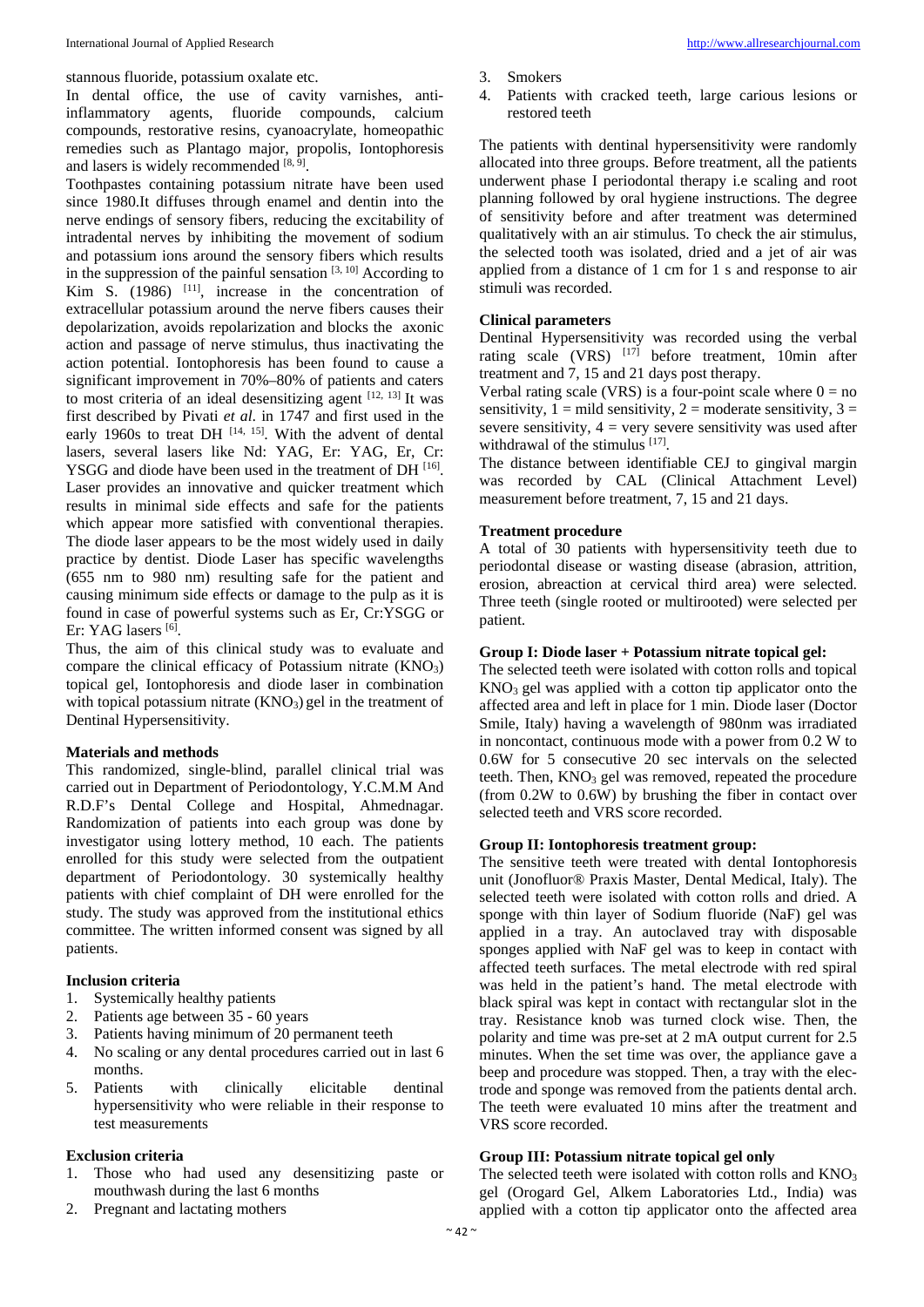stannous fluoride, potassium oxalate etc.

In dental office, the use of cavity varnishes, antiinflammatory agents, fluoride compounds, calcium compounds, restorative resins, cyanoacrylate, homeopathic remedies such as Plantago major, propolis, Iontophoresis and lasers is widely recommended [8, 9].

Toothpastes containing potassium nitrate have been used since 1980.It diffuses through enamel and dentin into the nerve endings of sensory fibers, reducing the excitability of intradental nerves by inhibiting the movement of sodium and potassium ions around the sensory fibers which results in the suppression of the painful sensation  $[3, 10]$  According to Kim S.  $(1986)$ <sup>[11]</sup>, increase in the concentration of extracellular potassium around the nerve fibers causes their depolarization, avoids repolarization and blocks the axonic action and passage of nerve stimulus, thus inactivating the action potential. Iontophoresis has been found to cause a significant improvement in 70%–80% of patients and caters to most criteria of an ideal desensitizing agent  $[12, 13]$  It was first described by Pivati *et al*. in 1747 and first used in the early 1960s to treat DH  $[14, 15]$ . With the advent of dental lasers, several lasers like Nd: YAG, Er: YAG, Er, Cr: YSGG and diode have been used in the treatment of DH<sup>[16]</sup>. Laser provides an innovative and quicker treatment which results in minimal side effects and safe for the patients which appear more satisfied with conventional therapies. The diode laser appears to be the most widely used in daily practice by dentist. Diode Laser has specific wavelengths (655 nm to 980 nm) resulting safe for the patient and causing minimum side effects or damage to the pulp as it is found in case of powerful systems such as Er, Cr:YSGG or Er: YAG lasers [6].

Thus, the aim of this clinical study was to evaluate and compare the clinical efficacy of Potassium nitrate  $(KNO<sub>3</sub>)$ topical gel, Iontophoresis and diode laser in combination with topical potassium nitrate  $(KNO<sub>3</sub>)$  gel in the treatment of Dentinal Hypersensitivity.

#### **Materials and methods**

This randomized, single-blind, parallel clinical trial was carried out in Department of Periodontology, Y.C.M.M And R.D.F's Dental College and Hospital, Ahmednagar. Randomization of patients into each group was done by investigator using lottery method, 10 each. The patients enrolled for this study were selected from the outpatient department of Periodontology. 30 systemically healthy patients with chief complaint of DH were enrolled for the study. The study was approved from the institutional ethics committee. The written informed consent was signed by all patients.

#### **Inclusion criteria**

- 1. Systemically healthy patients
- 2. Patients age between 35 60 years
- 3. Patients having minimum of 20 permanent teeth
- 4. No scaling or any dental procedures carried out in last 6 months.
- 5. Patients with clinically elicitable dentinal hypersensitivity who were reliable in their response to test measurements

#### **Exclusion criteria**

- 1. Those who had used any desensitizing paste or mouthwash during the last 6 months
- 2. Pregnant and lactating mothers
- 3. Smokers
- 4. Patients with cracked teeth, large carious lesions or restored teeth

The patients with dentinal hypersensitivity were randomly allocated into three groups. Before treatment, all the patients underwent phase I periodontal therapy i.e scaling and root planning followed by oral hygiene instructions. The degree of sensitivity before and after treatment was determined qualitatively with an air stimulus. To check the air stimulus, the selected tooth was isolated, dried and a jet of air was applied from a distance of 1 cm for 1 s and response to air stimuli was recorded.

#### **Clinical parameters**

Dentinal Hypersensitivity was recorded using the verbal rating scale (VRS)  $[17]$  before treatment, 10min after treatment and 7, 15 and 21 days post therapy.

Verbal rating scale (VRS) is a four-point scale where  $0 = no$ sensitivity,  $1 = \text{mild sensitivity}, 2 = \text{moderate sensitivity}, 3 =$ severe sensitivity,  $4 = \text{very severe sensitivity}$  was used after withdrawal of the stimulus [17].

The distance between identifiable CEJ to gingival margin was recorded by CAL (Clinical Attachment Level) measurement before treatment, 7, 15 and 21 days.

#### **Treatment procedure**

A total of 30 patients with hypersensitivity teeth due to periodontal disease or wasting disease (abrasion, attrition, erosion, abreaction at cervical third area) were selected. Three teeth (single rooted or multirooted) were selected per patient.

#### **Group I: Diode laser + Potassium nitrate topical gel:**

The selected teeth were isolated with cotton rolls and topical  $KNO<sub>3</sub>$  gel was applied with a cotton tip applicator onto the affected area and left in place for 1 min. Diode laser (Doctor Smile, Italy) having a wavelength of 980nm was irradiated in noncontact, continuous mode with a power from 0.2 W to 0.6W for 5 consecutive 20 sec intervals on the selected teeth. Then,  $KNO<sub>3</sub>$  gel was removed, repeated the procedure (from 0.2W to 0.6W) by brushing the fiber in contact over selected teeth and VRS score recorded.

#### **Group II: Iontophoresis treatment group:**

The sensitive teeth were treated with dental Iontophoresis unit (Jonofluor® Praxis Master, Dental Medical, Italy). The selected teeth were isolated with cotton rolls and dried. A sponge with thin layer of Sodium fluoride (NaF) gel was applied in a tray. An autoclaved tray with disposable sponges applied with NaF gel was to keep in contact with affected teeth surfaces. The metal electrode with red spiral was held in the patient's hand. The metal electrode with black spiral was kept in contact with rectangular slot in the tray. Resistance knob was turned clock wise. Then, the polarity and time was pre-set at 2 mA output current for 2.5 minutes. When the set time was over, the appliance gave a beep and procedure was stopped. Then, a tray with the electrode and sponge was removed from the patients dental arch. The teeth were evaluated 10 mins after the treatment and VRS score recorded.

#### **Group III: Potassium nitrate topical gel only**

The selected teeth were isolated with cotton rolls and  $KNO<sub>3</sub>$ gel (Orogard Gel, Alkem Laboratories Ltd., India) was applied with a cotton tip applicator onto the affected area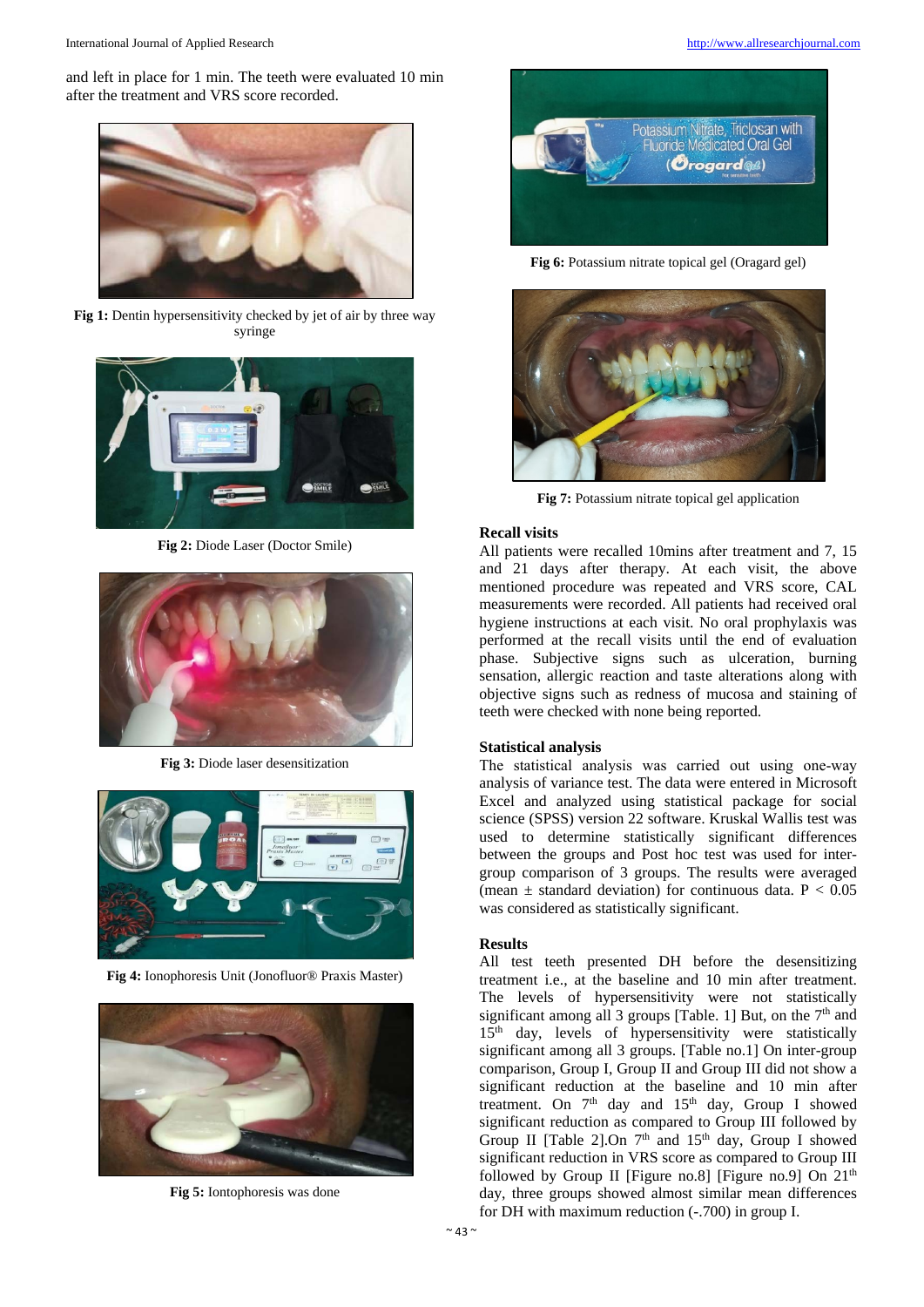and left in place for 1 min. The teeth were evaluated 10 min after the treatment and VRS score recorded.



**Fig 1:** Dentin hypersensitivity checked by jet of air by three way syringe



**Fig 2:** Diode Laser (Doctor Smile)



**Fig 3:** Diode laser desensitization



**Fig 4:** Ionophoresis Unit (Jonofluor® Praxis Master)



**Fig 5:** Iontophoresis was done



**Fig 6:** Potassium nitrate topical gel (Oragard gel)



**Fig 7:** Potassium nitrate topical gel application

#### **Recall visits**

All patients were recalled 10mins after treatment and 7, 15 and 21 days after therapy. At each visit, the above mentioned procedure was repeated and VRS score, CAL measurements were recorded. All patients had received oral hygiene instructions at each visit. No oral prophylaxis was performed at the recall visits until the end of evaluation phase. Subjective signs such as ulceration, burning sensation, allergic reaction and taste alterations along with objective signs such as redness of mucosa and staining of teeth were checked with none being reported.

#### **Statistical analysis**

The statistical analysis was carried out using one-way analysis of variance test. The data were entered in Microsoft Excel and analyzed using statistical package for social science (SPSS) version 22 software. Kruskal Wallis test was used to determine statistically significant differences between the groups and Post hoc test was used for intergroup comparison of 3 groups. The results were averaged (mean  $\pm$  standard deviation) for continuous data. P < 0.05 was considered as statistically significant.

#### **Results**

All test teeth presented DH before the desensitizing treatment i.e., at the baseline and 10 min after treatment. The levels of hypersensitivity were not statistically significant among all 3 groups [Table. 1] But, on the  $7<sup>th</sup>$  and 15<sup>th</sup> day, levels of hypersensitivity were statistically significant among all 3 groups. [Table no.1] On inter-group comparison, Group I, Group II and Group III did not show a significant reduction at the baseline and 10 min after treatment. On  $7<sup>th</sup>$  day and  $15<sup>th</sup>$  day, Group I showed significant reduction as compared to Group III followed by Group II [Table 2].On 7<sup>th</sup> and 15<sup>th</sup> day, Group I showed significant reduction in VRS score as compared to Group III followed by Group II [Figure no.8] [Figure no.9] On  $21<sup>th</sup>$ day, three groups showed almost similar mean differences for DH with maximum reduction (-.700) in group I.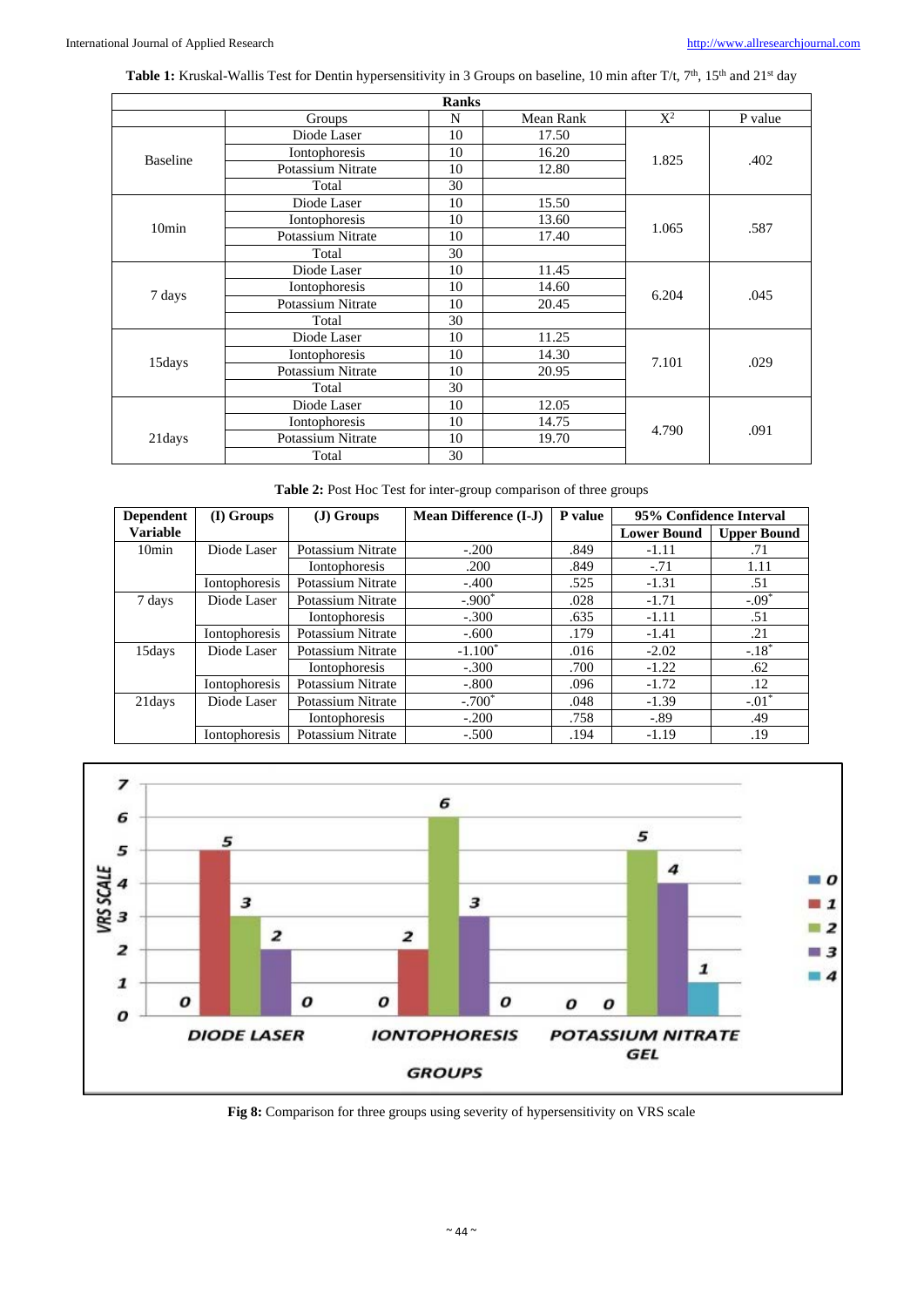Table 1: Kruskal-Wallis Test for Dentin hypersensitivity in 3 Groups on baseline, 10 min after T/t, 7<sup>th</sup>, 15<sup>th</sup> and 21<sup>st</sup> day

|                   |                          | <b>Ranks</b> |           |       |         |
|-------------------|--------------------------|--------------|-----------|-------|---------|
|                   | Groups                   | N            | Mean Rank | $X^2$ | P value |
|                   | Diode Laser              | 10           | 17.50     |       | .402    |
|                   | Iontophoresis            | 10           | 16.20     | 1.825 |         |
| <b>Baseline</b>   | Potassium Nitrate        | 10           | 12.80     |       |         |
|                   | Total                    | 30           |           |       |         |
|                   | Diode Laser              | 10           | 15.50     |       | .587    |
| 10 <sub>min</sub> | Iontophoresis            | 10           | 13.60     |       |         |
|                   | <b>Potassium Nitrate</b> | 10           | 17.40     | 1.065 |         |
|                   | Total                    | 30           |           |       |         |
|                   | Diode Laser              | 10           | 11.45     |       | .045    |
|                   | Iontophoresis            | 10           | 14.60     |       |         |
| 7 days            | Potassium Nitrate        | 10           | 20.45     | 6.204 |         |
|                   | Total                    | 30           |           |       |         |
|                   | Diode Laser              | 10           | 11.25     |       | .029    |
|                   | Iontophoresis            | 10           | 14.30     |       |         |
| 15days            | <b>Potassium Nitrate</b> | 10           | 20.95     | 7.101 |         |
|                   | Total                    | 30           |           |       |         |
|                   | Diode Laser              | 10           | 12.05     |       | .091    |
|                   | Iontophoresis            | 10           | 14.75     |       |         |
| 21days            | <b>Potassium Nitrate</b> | 10           | 19.70     | 4.790 |         |
|                   | Total                    | 30           |           |       |         |

|  | Table 2: Post Hoc Test for inter-group comparison of three groups |  |
|--|-------------------------------------------------------------------|--|
|  |                                                                   |  |

| <b>Dependent</b><br>(I) Groups |               | $J)$ Groups           | Mean Difference (I-J) | P value | 95% Confidence Interval |                    |
|--------------------------------|---------------|-----------------------|-----------------------|---------|-------------------------|--------------------|
| <b>Variable</b>                |               |                       |                       |         | <b>Lower Bound</b>      | <b>Upper Bound</b> |
| 10 <sub>min</sub>              | Diode Laser   | Potassium Nitrate     | $-.200$               | .849    | $-1.11$                 | .71                |
|                                |               | <b>I</b> ontophoresis | .200                  | .849    | $-.71$                  | 1.11               |
|                                | Iontophoresis | Potassium Nitrate     | $-.400$               | .525    | $-1.31$                 | .51                |
| 7 days                         | Diode Laser   | Potassium Nitrate     | $-.900*$              | .028    | $-1.71$                 | $-.09*$            |
|                                |               | <b>I</b> ontophoresis | $-.300$               | .635    | $-1.11$                 | .51                |
|                                | Iontophoresis | Potassium Nitrate     | $-.600$               | .179    | $-1.41$                 | .21                |
| 15days                         | Diode Laser   | Potassium Nitrate     | $-1.100*$             | .016    | $-2.02$                 | $-.18*$            |
|                                |               | Iontophoresis         | $-.300$               | .700    | $-1.22$                 | .62                |
|                                | Iontophoresis | Potassium Nitrate     | $-.800$               | .096    | $-1.72$                 | .12                |
| 21 days                        | Diode Laser   | Potassium Nitrate     | $-.700*$              | .048    | $-1.39$                 | $-.01*$            |
|                                |               | <b>I</b> ontophoresis | $-.200$               | .758    | $-.89$                  | .49                |
|                                | Iontophoresis | Potassium Nitrate     | $-.500$               | .194    | $-1.19$                 | .19                |



**Fig 8:** Comparison for three groups using severity of hypersensitivity on VRS scale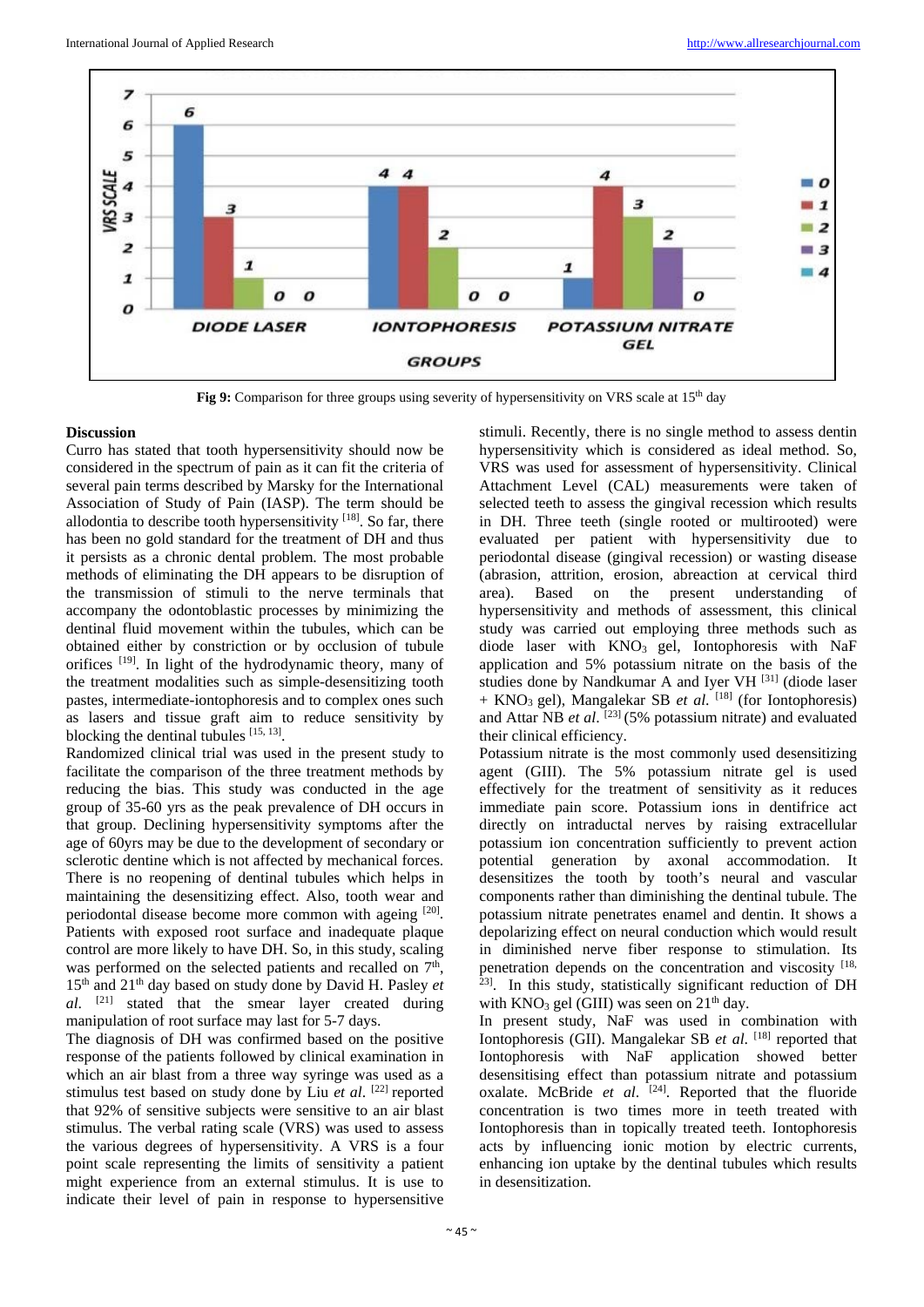

**Fig 9:** Comparison for three groups using severity of hypersensitivity on VRS scale at 15<sup>th</sup> day

#### **Discussion**

Curro has stated that tooth hypersensitivity should now be considered in the spectrum of pain as it can fit the criteria of several pain terms described by Marsky for the International Association of Study of Pain (IASP). The term should be allodontia to describe tooth hypersensitivity  $[18]$ . So far, there has been no gold standard for the treatment of DH and thus it persists as a chronic dental problem. The most probable methods of eliminating the DH appears to be disruption of the transmission of stimuli to the nerve terminals that accompany the odontoblastic processes by minimizing the dentinal fluid movement within the tubules, which can be obtained either by constriction or by occlusion of tubule orifices <sup>[19]</sup>. In light of the hydrodynamic theory, many of the treatment modalities such as simple-desensitizing tooth pastes, intermediate-iontophoresis and to complex ones such as lasers and tissue graft aim to reduce sensitivity by blocking the dentinal tubules [15, 13].

Randomized clinical trial was used in the present study to facilitate the comparison of the three treatment methods by reducing the bias. This study was conducted in the age group of 35-60 yrs as the peak prevalence of DH occurs in that group. Declining hypersensitivity symptoms after the age of 60yrs may be due to the development of secondary or sclerotic dentine which is not affected by mechanical forces. There is no reopening of dentinal tubules which helps in maintaining the desensitizing effect. Also, tooth wear and periodontal disease become more common with ageing <sup>[20]</sup>. Patients with exposed root surface and inadequate plaque control are more likely to have DH. So, in this study, scaling was performed on the selected patients and recalled on  $7<sup>th</sup>$ , 15th and 21th day based on study done by David H. Pasley *et al*. [21] stated that the smear layer created during manipulation of root surface may last for 5-7 days.

The diagnosis of DH was confirmed based on the positive response of the patients followed by clinical examination in which an air blast from a three way syringe was used as a stimulus test based on study done by Liu *et al*. [22] reported that 92% of sensitive subjects were sensitive to an air blast stimulus. The verbal rating scale (VRS) was used to assess the various degrees of hypersensitivity. A VRS is a four point scale representing the limits of sensitivity a patient might experience from an external stimulus. It is use to indicate their level of pain in response to hypersensitive

stimuli. Recently, there is no single method to assess dentin hypersensitivity which is considered as ideal method. So, VRS was used for assessment of hypersensitivity. Clinical Attachment Level (CAL) measurements were taken of selected teeth to assess the gingival recession which results in DH. Three teeth (single rooted or multirooted) were evaluated per patient with hypersensitivity due to periodontal disease (gingival recession) or wasting disease (abrasion, attrition, erosion, abreaction at cervical third area). Based on the present understanding of hypersensitivity and methods of assessment, this clinical study was carried out employing three methods such as diode laser with KNO<sub>3</sub> gel, Iontophoresis with NaF application and 5% potassium nitrate on the basis of the studies done by Nandkumar A and Iyer VH <sup>[31]</sup> (diode laser + KNO3 gel), Mangalekar SB *et al*. [18] (for Iontophoresis) and Attar NB *et al*. [23] (5% potassium nitrate) and evaluated their clinical efficiency.

Potassium nitrate is the most commonly used desensitizing agent (GIII). The 5% potassium nitrate gel is used effectively for the treatment of sensitivity as it reduces immediate pain score. Potassium ions in dentifrice act directly on intraductal nerves by raising extracellular potassium ion concentration sufficiently to prevent action potential generation by axonal accommodation. It desensitizes the tooth by tooth's neural and vascular components rather than diminishing the dentinal tubule. The potassium nitrate penetrates enamel and dentin. It shows a depolarizing effect on neural conduction which would result in diminished nerve fiber response to stimulation. Its penetration depends on the concentration and viscosity <sup>[18, 23]</sup>. In this study, statistically significant reduction of DH with  $KNO_3$  gel (GIII) was seen on  $21<sup>th</sup>$  day.

In present study, NaF was used in combination with Iontophoresis (GII). Mangalekar SB *et al*. [18] reported that Iontophoresis with NaF application showed better desensitising effect than potassium nitrate and potassium oxalate. McBride et al. <sup>[24]</sup>. Reported that the fluoride concentration is two times more in teeth treated with Iontophoresis than in topically treated teeth. Iontophoresis acts by influencing ionic motion by electric currents, enhancing ion uptake by the dentinal tubules which results in desensitization.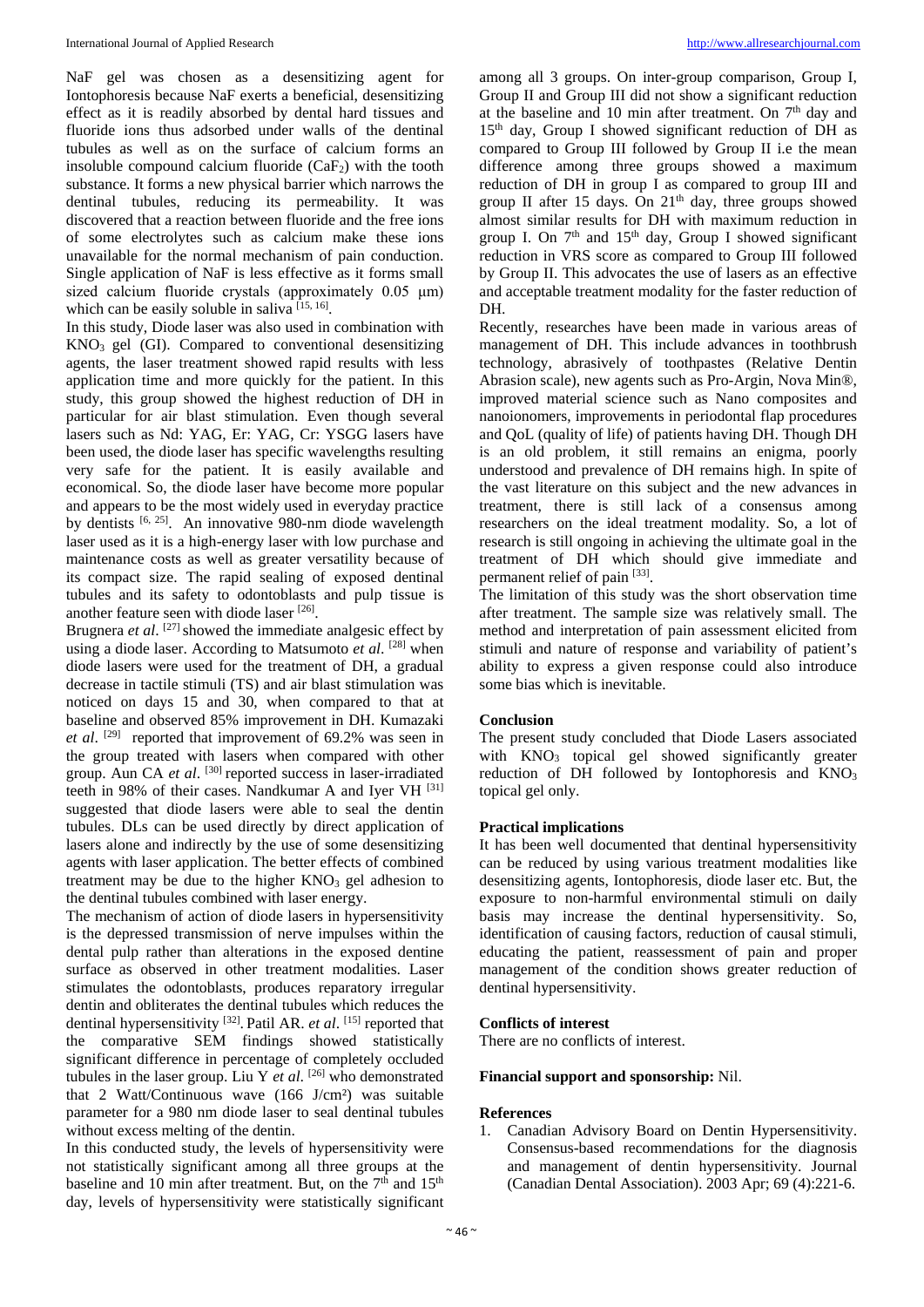NaF gel was chosen as a desensitizing agent for Iontophoresis because NaF exerts a beneficial, desensitizing effect as it is readily absorbed by dental hard tissues and fluoride ions thus adsorbed under walls of the dentinal tubules as well as on the surface of calcium forms an insoluble compound calcium fluoride  $(CaF<sub>2</sub>)$  with the tooth substance. It forms a new physical barrier which narrows the dentinal tubules, reducing its permeability. It was discovered that a reaction between fluoride and the free ions of some electrolytes such as calcium make these ions unavailable for the normal mechanism of pain conduction. Single application of NaF is less effective as it forms small sized calcium fluoride crystals (approximately 0.05 μm) which can be easily soluble in saliva [15, 16].

In this study, Diode laser was also used in combination with KNO3 gel (GI). Compared to conventional desensitizing agents, the laser treatment showed rapid results with less application time and more quickly for the patient. In this study, this group showed the highest reduction of DH in particular for air blast stimulation. Even though several lasers such as Nd: YAG, Er: YAG, Cr: YSGG lasers have been used, the diode laser has specific wavelengths resulting very safe for the patient. It is easily available and economical. So, the diode laser have become more popular and appears to be the most widely used in everyday practice by dentists <sup>[6, 25]</sup>. An innovative 980-nm diode wavelength laser used as it is a high-energy laser with low purchase and maintenance costs as well as greater versatility because of its compact size. The rapid sealing of exposed dentinal tubules and its safety to odontoblasts and pulp tissue is another feature seen with diode laser [26].

Brugnera *et al.* <sup>[27]</sup> showed the immediate analgesic effect by using a diode laser. According to Matsumoto *et al*. [28] when diode lasers were used for the treatment of DH, a gradual decrease in tactile stimuli (TS) and air blast stimulation was noticed on days 15 and 30, when compared to that at baseline and observed 85% improvement in DH. Kumazaki *et al*. [29] reported that improvement of 69.2% was seen in the group treated with lasers when compared with other group. Aun CA *et al.* <sup>[30]</sup> reported success in laser-irradiated teeth in 98% of their cases. Nandkumar A and Iyer VH [31] suggested that diode lasers were able to seal the dentin tubules. DLs can be used directly by direct application of lasers alone and indirectly by the use of some desensitizing agents with laser application. The better effects of combined treatment may be due to the higher  $KNO<sub>3</sub>$  gel adhesion to the dentinal tubules combined with laser energy.

The mechanism of action of diode lasers in hypersensitivity is the depressed transmission of nerve impulses within the dental pulp rather than alterations in the exposed dentine surface as observed in other treatment modalities. Laser stimulates the odontoblasts, produces reparatory irregular dentin and obliterates the dentinal tubules which reduces the dentinal hypersensitivity [32] . Patil AR. *et al*. [15] reported that the comparative SEM findings showed statistically significant difference in percentage of completely occluded tubules in the laser group. Liu Y *et al.* <sup>[26]</sup> who demonstrated that 2 Watt/Continuous wave (166 J/cm²) was suitable parameter for a 980 nm diode laser to seal dentinal tubules without excess melting of the dentin.

In this conducted study, the levels of hypersensitivity were not statistically significant among all three groups at the baseline and 10 min after treatment. But, on the  $7<sup>th</sup>$  and  $15<sup>th</sup>$ day, levels of hypersensitivity were statistically significant

among all 3 groups. On inter-group comparison, Group I, Group II and Group III did not show a significant reduction at the baseline and 10 min after treatment. On  $7<sup>th</sup>$  day and  $15<sup>th</sup>$  day, Group I showed significant reduction of DH as compared to Group III followed by Group II i.e the mean difference among three groups showed a maximum reduction of DH in group I as compared to group III and group II after 15 days. On  $21<sup>th</sup>$  day, three groups showed almost similar results for DH with maximum reduction in group I. On  $7<sup>th</sup>$  and  $15<sup>th</sup>$  day, Group I showed significant reduction in VRS score as compared to Group III followed by Group II. This advocates the use of lasers as an effective and acceptable treatment modality for the faster reduction of DH.

Recently, researches have been made in various areas of management of DH. This include advances in toothbrush technology, abrasively of toothpastes (Relative Dentin Abrasion scale), new agents such as Pro-Argin, Nova Min®, improved material science such as Nano composites and nanoionomers, improvements in periodontal flap procedures and QoL (quality of life) of patients having DH. Though DH is an old problem, it still remains an enigma, poorly understood and prevalence of DH remains high. In spite of the vast literature on this subject and the new advances in treatment, there is still lack of a consensus among researchers on the ideal treatment modality. So, a lot of research is still ongoing in achieving the ultimate goal in the treatment of DH which should give immediate and permanent relief of pain [33].

The limitation of this study was the short observation time after treatment. The sample size was relatively small. The method and interpretation of pain assessment elicited from stimuli and nature of response and variability of patient's ability to express a given response could also introduce some bias which is inevitable.

#### **Conclusion**

The present study concluded that Diode Lasers associated with KNO<sub>3</sub> topical gel showed significantly greater reduction of DH followed by Iontophoresis and  $KNO<sub>3</sub>$ topical gel only.

#### **Practical implications**

It has been well documented that dentinal hypersensitivity can be reduced by using various treatment modalities like desensitizing agents, Iontophoresis, diode laser etc. But, the exposure to non-harmful environmental stimuli on daily basis may increase the dentinal hypersensitivity. So, identification of causing factors, reduction of causal stimuli, educating the patient, reassessment of pain and proper management of the condition shows greater reduction of dentinal hypersensitivity.

#### **Conflicts of interest**

There are no conflicts of interest.

#### **Financial support and sponsorship:** Nil.

#### **References**

1. Canadian Advisory Board on Dentin Hypersensitivity. Consensus-based recommendations for the diagnosis and management of dentin hypersensitivity. Journal (Canadian Dental Association). 2003 Apr; 69 (4):221-6.